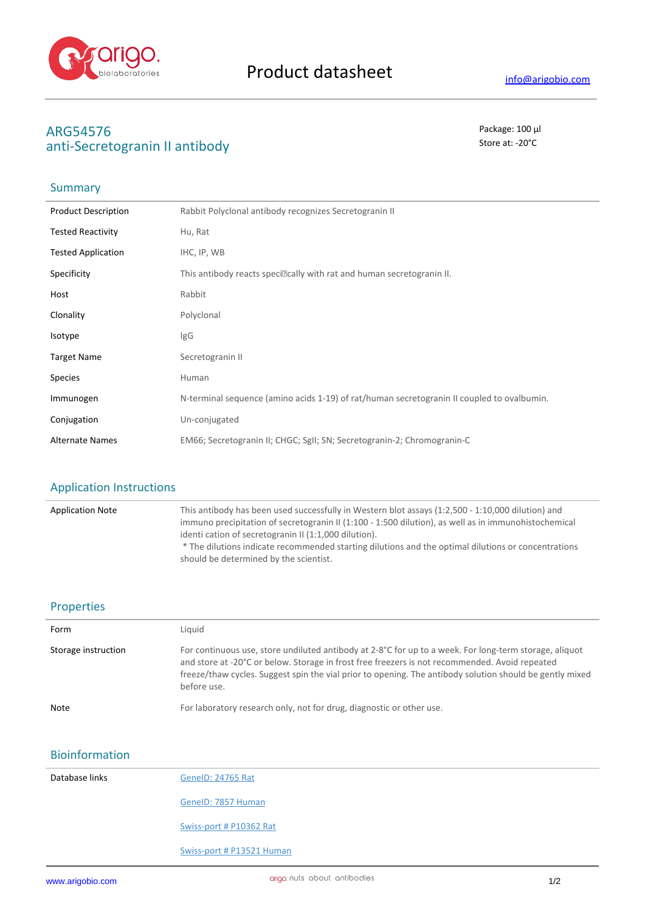

# **ARG54576** Package: 100 μl<br>
anti-Secretograpin II antibody anti-Secretogranin II antibody

## Summary

| <b>Product Description</b> | Rabbit Polyclonal antibody recognizes Secretogranin II                                     |
|----------------------------|--------------------------------------------------------------------------------------------|
| <b>Tested Reactivity</b>   | Hu, Rat                                                                                    |
| <b>Tested Application</b>  | IHC, IP, WB                                                                                |
| Specificity                | This antibody reacts speci <sup>nc</sup> ally with rat and human secretogranin II.         |
| Host                       | Rabbit                                                                                     |
| Clonality                  | Polyclonal                                                                                 |
| Isotype                    | IgG                                                                                        |
| <b>Target Name</b>         | Secretogranin II                                                                           |
| <b>Species</b>             | Human                                                                                      |
| Immunogen                  | N-terminal sequence (amino acids 1-19) of rat/human secretogranin II coupled to ovalbumin. |
| Conjugation                | Un-conjugated                                                                              |
| <b>Alternate Names</b>     | EM66; Secretogranin II; CHGC; SgII; SN; Secretogranin-2; Chromogranin-C                    |

### Application Instructions

| <b>Application Note</b> | This antibody has been used successfully in Western blot assays (1:2,500 - 1:10,000 dilution) and<br>immuno precipitation of secretogranin II (1:100 - 1:500 dilution), as well as in immunohistochemical<br>identi cation of secretogranin II (1:1,000 dilution).<br>* The dilutions indicate recommended starting dilutions and the optimal dilutions or concentrations<br>should be determined by the scientist. |
|-------------------------|---------------------------------------------------------------------------------------------------------------------------------------------------------------------------------------------------------------------------------------------------------------------------------------------------------------------------------------------------------------------------------------------------------------------|
|                         |                                                                                                                                                                                                                                                                                                                                                                                                                     |

#### Properties

| Form                | Liquid                                                                                                                                                                                                                                                                                                                              |
|---------------------|-------------------------------------------------------------------------------------------------------------------------------------------------------------------------------------------------------------------------------------------------------------------------------------------------------------------------------------|
| Storage instruction | For continuous use, store undiluted antibody at 2-8°C for up to a week. For long-term storage, aliquot<br>and store at -20°C or below. Storage in frost free freezers is not recommended. Avoid repeated<br>freeze/thaw cycles. Suggest spin the vial prior to opening. The antibody solution should be gently mixed<br>before use. |
| Note                | For laboratory research only, not for drug, diagnostic or other use.                                                                                                                                                                                                                                                                |

## Bioinformation

| Database links | <b>GenelD: 24765 Rat</b>  |
|----------------|---------------------------|
|                | GenelD: 7857 Human        |
|                | Swiss-port # P10362 Rat   |
|                | Swiss-port # P13521 Human |